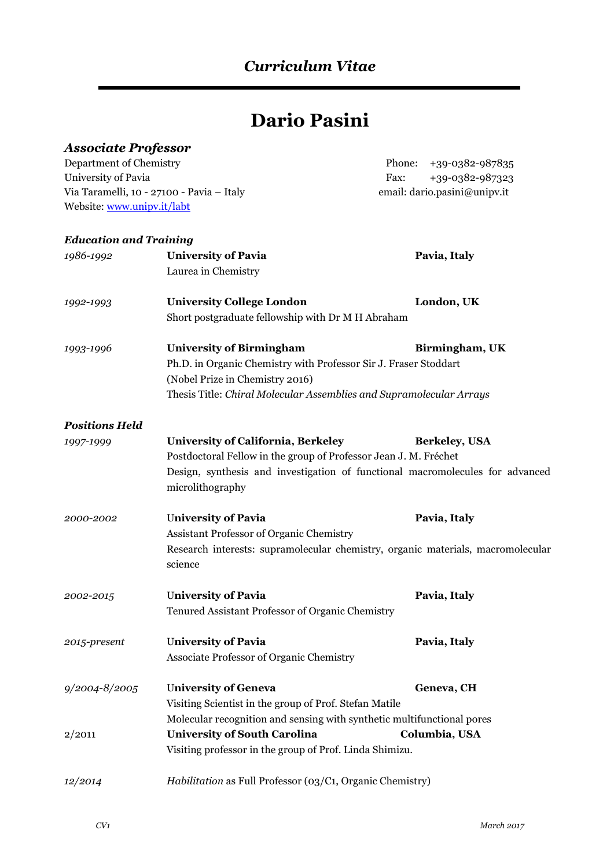# **Dario Pasini**

# *Associate Professor*

Department of Chemistry Phone: +39-0382-987835 University of Pavia Fax: +39-0382-987323 Via Taramelli, 10 - 27100 - Pavia – Italy email: dario.pasini@unipv.it Website[: www.unipv.it/labt](http://www.unipv.it/labt)

#### *Education and Training*

| 1986-1992             | <b>University of Pavia</b><br>Laurea in Chemistry                                                                                                                                                                                          | Pavia, Italy   |
|-----------------------|--------------------------------------------------------------------------------------------------------------------------------------------------------------------------------------------------------------------------------------------|----------------|
| 1992-1993             | <b>University College London</b><br>Short postgraduate fellowship with Dr M H Abraham                                                                                                                                                      | London, UK     |
| 1993-1996             | <b>University of Birmingham</b><br>Ph.D. in Organic Chemistry with Professor Sir J. Fraser Stoddart<br>(Nobel Prize in Chemistry 2016)<br>Thesis Title: Chiral Molecular Assemblies and Supramolecular Arrays                              | Birmingham, UK |
| <b>Positions Held</b> |                                                                                                                                                                                                                                            |                |
| 1997-1999             | <b>University of California, Berkeley</b><br><b>Berkeley, USA</b><br>Postdoctoral Fellow in the group of Professor Jean J. M. Fréchet<br>Design, synthesis and investigation of functional macromolecules for advanced<br>microlithography |                |
| 2000-2002             | <b>University of Pavia</b><br><b>Assistant Professor of Organic Chemistry</b><br>Research interests: supramolecular chemistry, organic materials, macromolecular<br>science                                                                | Pavia, Italy   |
| 2002-2015             | <b>University of Pavia</b><br>Tenured Assistant Professor of Organic Chemistry                                                                                                                                                             | Pavia, Italy   |
| 2015-present          | <b>University of Pavia</b><br>Associate Professor of Organic Chemistry                                                                                                                                                                     | Pavia, Italy   |
| 9/2004-8/2005         | <b>University of Geneva</b><br>Visiting Scientist in the group of Prof. Stefan Matile<br>Molecular recognition and sensing with synthetic multifunctional pores                                                                            | Geneva, CH     |
| 2/2011                | <b>University of South Carolina</b><br>Visiting professor in the group of Prof. Linda Shimizu.                                                                                                                                             | Columbia, USA  |
| 12/2014               | Habilitation as Full Professor (03/C1, Organic Chemistry)                                                                                                                                                                                  |                |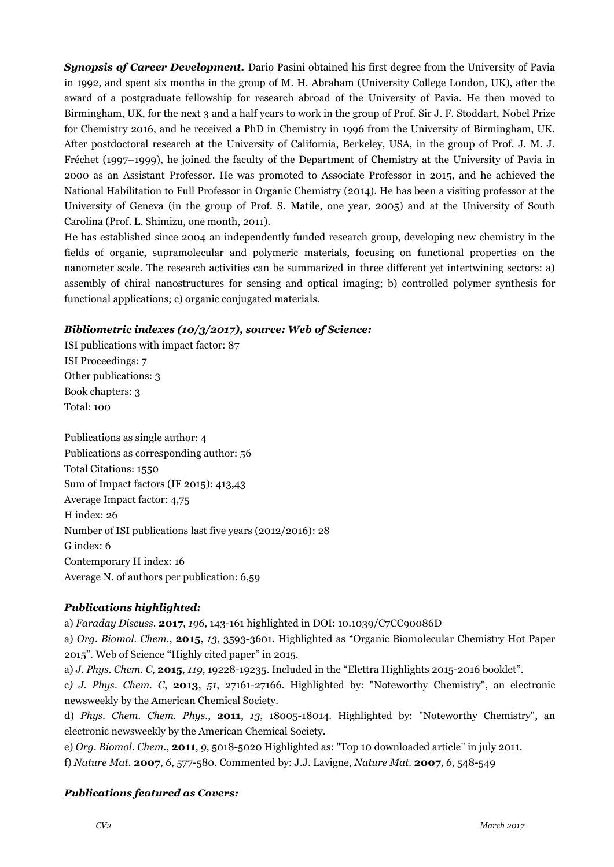*Synopsis of Career Development.* Dario Pasini obtained his first degree from the University of Pavia in 1992, and spent six months in the group of M. H. Abraham (University College London, UK), after the award of a postgraduate fellowship for research abroad of the University of Pavia. He then moved to Birmingham, UK, for the next 3 and a half years to work in the group of Prof. Sir J. F. Stoddart, Nobel Prize for Chemistry 2016, and he received a PhD in Chemistry in 1996 from the University of Birmingham, UK. After postdoctoral research at the University of California, Berkeley, USA, in the group of Prof. J. M. J. Fréchet (1997–1999), he joined the faculty of the Department of Chemistry at the University of Pavia in 2000 as an Assistant Professor. He was promoted to Associate Professor in 2015, and he achieved the National Habilitation to Full Professor in Organic Chemistry (2014). He has been a visiting professor at the University of Geneva (in the group of Prof. S. Matile, one year, 2005) and at the University of South Carolina (Prof. L. Shimizu, one month, 2011).

He has established since 2004 an independently funded research group, developing new chemistry in the fields of organic, supramolecular and polymeric materials, focusing on functional properties on the nanometer scale. The research activities can be summarized in three different yet intertwining sectors: a) assembly of chiral nanostructures for sensing and optical imaging; b) controlled polymer synthesis for functional applications; c) organic conjugated materials.

#### *Bibliometric indexes (10/3/2017), source: Web of Science:*

ISI publications with impact factor: 87 ISI Proceedings: 7 Other publications: 3 Book chapters: 3 Total: 100

Publications as single author: 4 Publications as corresponding author: 56 Total Citations: 1550 Sum of Impact factors (IF 2015): 413,43 Average Impact factor: 4,75 H index: 26 Number of ISI publications last five years (2012/2016): 28 G index: 6 Contemporary H index: 16 Average N. of authors per publication: 6,59

#### *Publications highlighted:*

a) *Faraday Discuss.* **2017**, *196*, 143-161 highlighted in DOI: 10.1039/C7CC90086D

a) *Org. Biomol. Chem.*, **2015**, *13*, 3593-3601. Highlighted as "Organic Biomolecular Chemistry Hot Paper 2015". Web of Science "Highly cited paper" in 2015.

a) *J. Phys. Chem. C*, **2015**, *119*, 19228-19235. Included in the "Elettra Highlights 2015-2016 booklet".

c*) J. Phys. Chem. C*, **2013**, *51*, 27161-27166. Highlighted by: "Noteworthy Chemistry", an electronic newsweekly by the American Chemical Society.

d) *Phys. Chem. Chem. Phys.*, **2011**, *13*, 18005-18014. Highlighted by: "Noteworthy Chemistry", an electronic newsweekly by the American Chemical Society.

e) *Org. Biomol. Chem.*, **2011**, *9*, 5018-5020 Highlighted as: "Top 10 downloaded article" in july 2011. f) *Nature Mat.* **2007**, *6*, 577-580. Commented by: J.J. Lavigne, *Nature Mat.* **2007**, *6*, 548-549

#### *Publications featured as Covers:*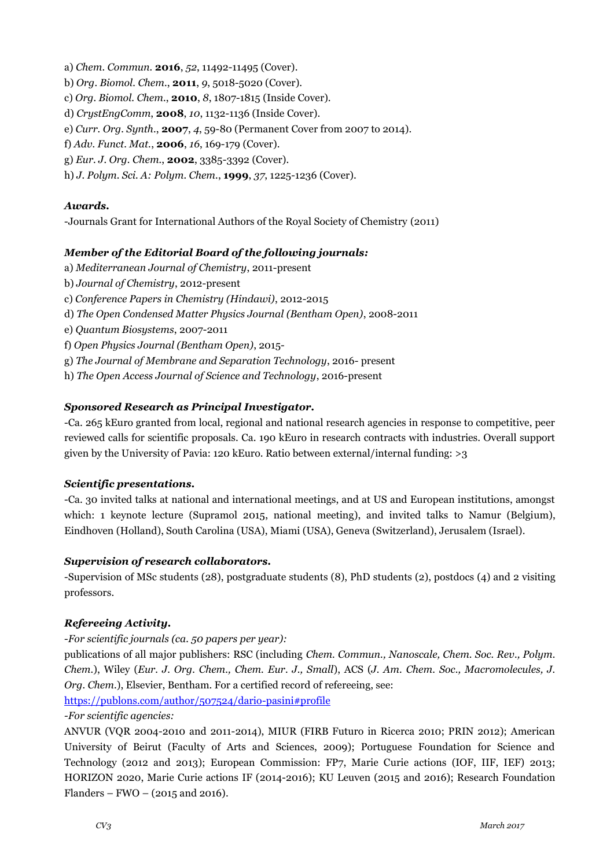- a) *Chem. Commun.* **2016**, *52*, 11492-11495 (Cover).
- b) *Org. Biomol. Chem.*, **2011**, *9*, 5018-5020 (Cover).
- c) *Org. Biomol. Chem.*, **2010**, *8*, 1807-1815 (Inside Cover).
- d) *CrystEngComm*, **2008**, *10*, 1132-1136 (Inside Cover).
- e) *Curr. Org. Synth.*, **2007**, *4*, 59-80 (Permanent Cover from 2007 to 2014).
- f) *Adv. Funct. Mat.*, **2006**, *16*, 169-179 (Cover).
- g) *Eur. J. Org. Chem.*, **2002**, 3385-3392 (Cover).
- h) *J. Polym. Sci. A: Polym. Chem.*, **1999**, *37*, 1225-1236 (Cover).

#### *Awards.*

-Journals Grant for International Authors of the Royal Society of Chemistry (2011)

#### *Member of the Editorial Board of the following journals:*

- a) *Mediterranean Journal of Chemistry*, 2011-present
- b) *Journal of Chemistry*, 2012-present
- c) *Conference Papers in Chemistry (Hindawi)*, 2012-2015
- d) *The Open Condensed Matter Physics Journal (Bentham Open)*, 2008-2011
- e) *Quantum Biosystems*, 2007-2011
- f) *Open Physics Journal (Bentham Open)*, 2015-
- g) *The Journal of Membrane and Separation Technology*, 2016- present
- h) *The Open Access Journal of Science and Technology*, 2016-present

#### *Sponsored Research as Principal Investigator.*

-Ca. 265 kEuro granted from local, regional and national research agencies in response to competitive, peer reviewed calls for scientific proposals. Ca. 190 kEuro in research contracts with industries. Overall support given by the University of Pavia: 120 kEuro. Ratio between external/internal funding: >3

#### *Scientific presentations.*

-Ca. 30 invited talks at national and international meetings, and at US and European institutions, amongst which: 1 keynote lecture (Supramol 2015, national meeting), and invited talks to Namur (Belgium), Eindhoven (Holland), South Carolina (USA), Miami (USA), Geneva (Switzerland), Jerusalem (Israel).

#### *Supervision of research collaborators.*

-Supervision of MSc students (28), postgraduate students (8), PhD students (2), postdocs (4) and 2 visiting professors.

#### *Refereeing Activity.*

#### -*For scientific journals (ca. 50 papers per year):*

publications of all major publishers: RSC (including *Chem. Commun., Nanoscale, Chem. Soc. Rev., Polym. Chem.*), Wiley (*Eur. J. Org. Chem., Chem. Eur. J., Small*), ACS (*J. Am. Chem. Soc., Macromolecules, J. Org. Chem.*), Elsevier, Bentham. For a certified record of refereeing, see:

<https://publons.com/author/507524/dario-pasini#profile>

#### *-For scientific agencies:*

ANVUR (VQR 2004-2010 and 2011-2014), MIUR (FIRB Futuro in Ricerca 2010; PRIN 2012); American University of Beirut (Faculty of Arts and Sciences, 2009); Portuguese Foundation for Science and Technology (2012 and 2013); European Commission: FP7, Marie Curie actions (IOF, IIF, IEF) 2013; HORIZON 2020, Marie Curie actions IF (2014-2016); KU Leuven (2015 and 2016); Research Foundation Flanders – FWO –  $(2015$  and 2016).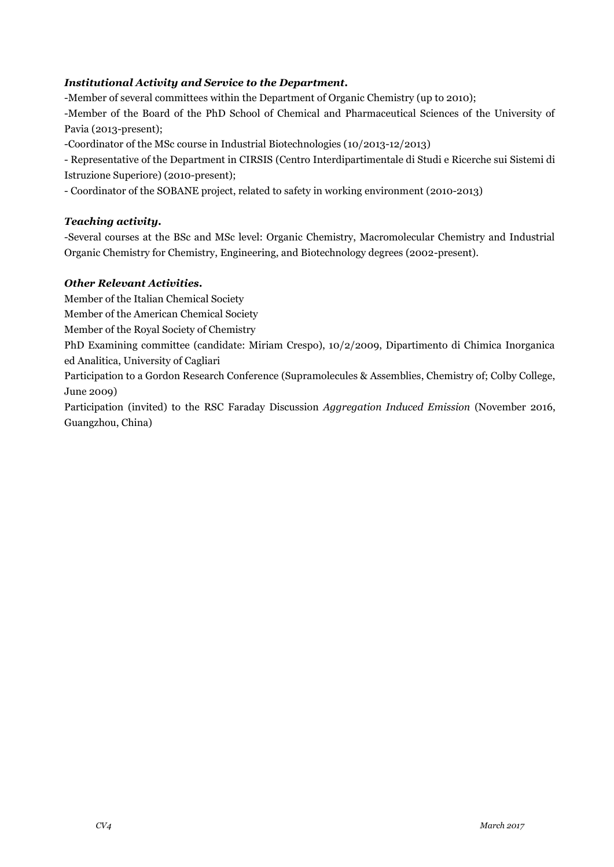## *Institutional Activity and Service to the Department.*

-Member of several committees within the Department of Organic Chemistry (up to 2010);

-Member of the Board of the PhD School of Chemical and Pharmaceutical Sciences of the University of Pavia (2013-present);

-Coordinator of the MSc course in Industrial Biotechnologies (10/2013-12/2013)

- Representative of the Department in CIRSIS (Centro Interdipartimentale di Studi e Ricerche sui Sistemi di Istruzione Superiore) (2010-present);

- Coordinator of the SOBANE project, related to safety in working environment (2010-2013)

#### *Teaching activity.*

-Several courses at the BSc and MSc level: Organic Chemistry, Macromolecular Chemistry and Industrial Organic Chemistry for Chemistry, Engineering, and Biotechnology degrees (2002-present).

#### *Other Relevant Activities.*

Member of the Italian Chemical Society

Member of the American Chemical Society

Member of the Royal Society of Chemistry

PhD Examining committee (candidate: Miriam Crespo), 10/2/2009, Dipartimento di Chimica Inorganica ed Analitica, University of Cagliari

Participation to a Gordon Research Conference (Supramolecules & Assemblies, Chemistry of; Colby College, June 2009)

Participation (invited) to the RSC Faraday Discussion *Aggregation Induced Emission* (November 2016, Guangzhou, China)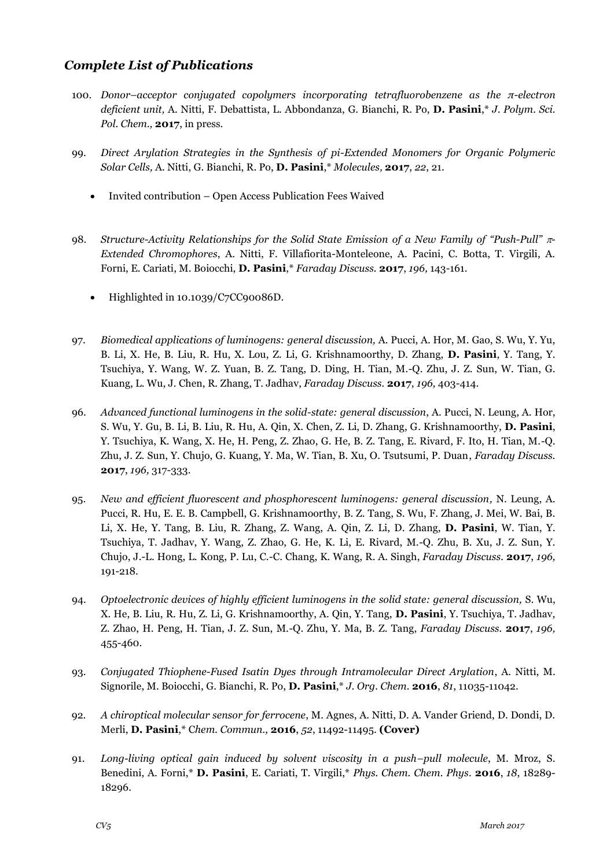# *Complete List of Publications*

- 100. *Donor–acceptor conjugated copolymers incorporating tetrafluorobenzene as the π-electron deficient unit,* A. Nitti, F. Debattista, L. Abbondanza, G. Bianchi, R. Po, **D. Pasini**,\* *J. Polym. Sci. Pol. Chem.,* **2017**, in press.
- 99. *Direct Arylation Strategies in the Synthesis of pi-Extended Monomers for Organic Polymeric Solar Cells,* A. Nitti, G. Bianchi, R. Po, **D. Pasini**,\* *Molecules,* **2017**, *22*, 21.
	- Invited contribution Open Access Publication Fees Waived
- 98. *Structure-Activity Relationships for the Solid State Emission of a New Family of "Push-Pull" - Extended Chromophores*, A. Nitti, F. Villafiorita-Monteleone, A. Pacini, C. Botta, T. Virgili, A. Forni, E. Cariati, M. Boiocchi, **D. Pasini**,\* *Faraday Discuss.* **2017**, *196,* 143-161.
	- Highlighted in 10.1039/C7CC90086D.
- 97. *Biomedical applications of luminogens: general discussion,* A. Pucci, A. Hor, M. Gao, S. Wu, Y. Yu, B. Li, X. He, B. Liu, R. Hu, X. Lou, Z. Li, G. Krishnamoorthy, D. Zhang, **D. Pasini**, Y. Tang, Y. Tsuchiya, Y. Wang, W. Z. Yuan, B. Z. Tang, D. Ding, H. Tian, M.-Q. Zhu, J. Z. Sun, W. Tian, G. Kuang, L. Wu, J. Chen, R. Zhang, T. Jadhav, *Faraday Discuss.* **2017**, *196,* 403-414.
- 96. *Advanced functional luminogens in the solid-state: general discussion*, A. Pucci, N. Leung, A. Hor, S. Wu, Y. Gu, B. Li, B. Liu, R. Hu, A. Qin, X. Chen, Z. Li, D. Zhang, G. Krishnamoorthy, **D. Pasini**, Y. Tsuchiya, K. Wang, X. He, H. Peng, Z. Zhao, G. He, B. Z. Tang, E. Rivard, F. Ito, H. Tian, M.-Q. Zhu, J. Z. Sun, Y. Chujo, G. Kuang, Y. Ma, W. Tian, B. Xu, O. Tsutsumi, P. Duan, *Faraday Discuss.* **2017**, *196,* 317-333.
- 95. *New and efficient fluorescent and phosphorescent luminogens: general discussion,* N. Leung, A. Pucci, R. Hu, E. E. B. Campbell, G. Krishnamoorthy, B. Z. Tang, S. Wu, F. Zhang, J. Mei, W. Bai, B. Li, X. He, Y. Tang, B. Liu, R. Zhang, Z. Wang, A. Qin, Z. Li, D. Zhang, **D. Pasini**, W. Tian, Y. Tsuchiya, T. Jadhav, Y. Wang, Z. Zhao, G. He, K. Li, E. Rivard, M.-Q. Zhu, B. Xu, J. Z. Sun, Y. Chujo, J.-L. Hong, L. Kong, P. Lu, C.-C. Chang, K. Wang, R. A. Singh, *Faraday Discuss.* **2017**, *196,*  191-218.
- 94. *Optoelectronic devices of highly efficient luminogens in the solid state: general discussion,* S. Wu, X. He, B. Liu, R. Hu, Z. Li, G. Krishnamoorthy, A. Qin, Y. Tang, **D. Pasini**, Y. Tsuchiya, T. Jadhav, Z. Zhao, H. Peng, H. Tian, J. Z. Sun, M.-Q. Zhu, Y. Ma, B. Z. Tang, *Faraday Discuss.* **2017**, *196,*  455-460.
- 93. *Conjugated Thiophene-Fused Isatin Dyes through Intramolecular Direct Arylation*, A. Nitti, M. Signorile, M. Boiocchi, G. Bianchi, R. Po, **D. Pasini**,\* *J. Org. Chem.* **2016**, *81*, 11035-11042.
- 92. *A chiroptical molecular sensor for ferrocene*, M. Agnes, A. Nitti, D. A. Vander Griend, D. Dondi, D. Merli, **D. Pasini**,\* C*hem. Commun.,* **2016**, *52*, 11492-11495. **(Cover)**
- 91. *Long-living optical gain induced by solvent viscosity in a push–pull molecule*, M. Mroz, S. Benedini, A. Forni,\* **D. Pasini**, E. Cariati, T. Virgili,\* *Phys. Chem. Chem. Phys*. **2016**, *18*, 18289- 18296.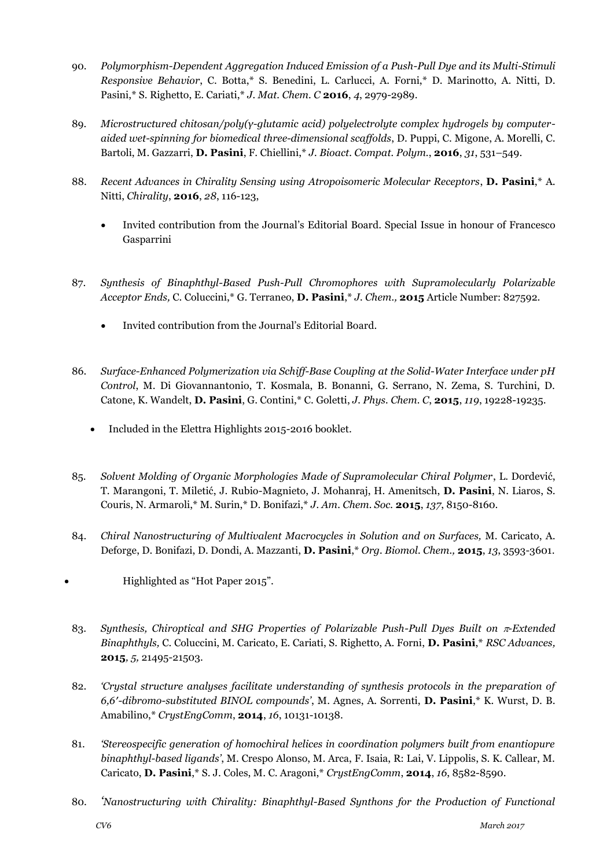- 90. *Polymorphism-Dependent Aggregation Induced Emission of a Push-Pull Dye and its Multi-Stimuli Responsive Behavior*, C. Botta,\* S. Benedini, L. Carlucci, A. Forni,\* D. Marinotto, A. Nitti, D. Pasini,\* S. Righetto, E. Cariati,\* *J. Mat. Chem. C* **2016**, *4*, 2979-2989.
- 89. *Microstructured chitosan/poly(γ-glutamic acid) polyelectrolyte complex hydrogels by computeraided wet-spinning for biomedical three-dimensional scaffolds*, D. Puppi, C. Migone, A. Morelli, C. Bartoli, M. Gazzarri, **D. Pasini**, F. Chiellini,\* *J. Bioact. Compat. Polym.*, **2016**, *31*, 531–549.
- 88. *Recent Advances in Chirality Sensing using Atropoisomeric Molecular Receptors*, **D. Pasini**,\* A. Nitti, *Chirality*, **2016**, *28*, 116-123,
	- Invited contribution from the Journal's Editorial Board. Special Issue in honour of Francesco Gasparrini
- 87. *Synthesis of Binaphthyl-Based Push-Pull Chromophores with Supramolecularly Polarizable Acceptor Ends,* C. Coluccini,\* G. Terraneo, **D. Pasini**,\* *J. Chem.,* **2015** Article Number: 827592.
	- Invited contribution from the Journal's Editorial Board.
- 86. *Surface-Enhanced Polymerization via Schiff-Base Coupling at the Solid-Water Interface under pH Control*, M. Di Giovannantonio, T. Kosmala, B. Bonanni, G. Serrano, N. Zema, S. Turchini, D. Catone, K. Wandelt, **D. Pasini**, G. Contini,\* C. Goletti, *J. Phys. Chem. C*, **2015**, *119*, 19228-19235.
	- Included in the Elettra Highlights 2015-2016 booklet.
- 85. *Solvent Molding of Organic Morphologies Made of Supramolecular Chiral Polymer*, L. Dordević, T. Marangoni, T. Miletić, J. Rubio-Magnieto, J. Mohanraj, H. Amenitsch, **D. Pasini**, N. Liaros, S. Couris, N. Armaroli,\* M. Surin,\* D. Bonifazi,\* *J. Am. Chem. Soc.* **2015**, *137*, 8150-8160.
- 84. *Chiral Nanostructuring of Multivalent Macrocycles in Solution and on Surfaces,* M. Caricato, A. Deforge, D. Bonifazi, D. Dondi, A. Mazzanti, **D. Pasini**,\* *Org. Biomol. Chem.,* **2015**, *13*, 3593-3601.
- Highlighted as "Hot Paper 2015".
- 83. *Synthesis, Chiroptical and SHG Properties of Polarizable Push-Pull Dyes Built on*  $\pi$ *-Extended Binaphthyls,* C. Coluccini, M. Caricato, E. Cariati, S. Righetto, A. Forni, **D. Pasini**,\* *RSC Advances,*  **2015***, 5,* 21495-21503.
- 82. *'Crystal structure analyses facilitate understanding of synthesis protocols in the preparation of 6,6′-dibromo-substituted BINOL compounds'*, M. Agnes, A. Sorrenti, **D. Pasini**,\* K. Wurst, D. B. Amabilino,\* *CrystEngComm*, **2014**, *16*, 10131-10138.
- 81. *'Stereospecific generation of homochiral helices in coordination polymers built from enantiopure binaphthyl-based ligands'*, M. Crespo Alonso, M. Arca, F. Isaia, R: Lai, V. Lippolis, S. K. Callear, M. Caricato, **D. Pasini**,\* S. J. Coles, M. C. Aragoni,\* *CrystEngComm*, **2014**, *16*, 8582-8590.
- 80. *'Nanostructuring with Chirality: Binaphthyl-Based Synthons for the Production of Functional*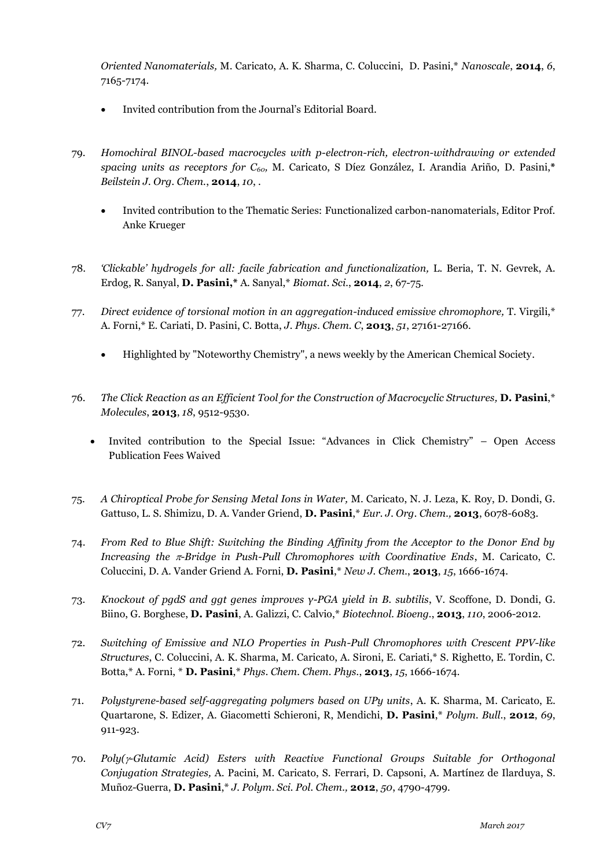*Oriented Nanomaterials,* M. Caricato, A. K. Sharma, C. Coluccini, D. Pasini,\* *Nanoscale*, **2014**, *6*, 7165-7174.

- Invited contribution from the Journal's Editorial Board.
- 79. *Homochiral BINOL-based macrocycles with p-electron-rich, electron-withdrawing or extended spacing units as receptors for C60,* M. Caricato, S Díez González, I. Arandia Ariño, D. Pasini,**\*** *Beilstein J. Org. Chem.*, **2014**, *10*, .
	- Invited contribution to the Thematic Series: Functionalized carbon-nanomaterials, Editor Prof. Anke Krueger
- 78. *'Clickable' hydrogels for all: facile fabrication and functionalization,* L. Beria, T. N. Gevrek, A. Erdog, R. Sanyal, **D. Pasini,\*** A. Sanyal,\* *Biomat. Sci.*, **2014**, *2*, 67-75*.*
- 77. *Direct evidence of torsional motion in an aggregation-induced emissive chromophore,* T. Virgili,\* A. Forni,\* E. Cariati, D. Pasini, C. Botta, *J. Phys. Chem. C*, **2013**, *51*, 27161-27166.
	- Highlighted by "Noteworthy Chemistry", a news weekly by the American Chemical Society.
- 76. *The Click Reaction as an Efficient Tool for the Construction of Macrocyclic Structures,* **D. Pasini**,\* *Molecules*, **2013**, *18*, 9512-9530.
	- Invited contribution to the Special Issue: "Advances in Click Chemistry" Open Access Publication Fees Waived
- 75. *A Chiroptical Probe for Sensing Metal Ions in Water,* M. Caricato, N. J. Leza, K. Roy, D. Dondi, G. Gattuso, L. S. Shimizu, D. A. Vander Griend, **D. Pasini**,\* *Eur. J. Org. Chem.,* **2013**, 6078-6083.
- 74. *From Red to Blue Shift: Switching the Binding Affinity from the Acceptor to the Donor End by Increasing the*  $\pi$ *-Bridge in Push-Pull Chromophores with Coordinative Ends*, M. Caricato, C. Coluccini, D. A. Vander Griend A. Forni, **D. Pasini**,\* *New J. Chem.*, **2013**, *15*, 1666-1674.
- 73. *Knockout of pgdS and ggt genes improves γ-PGA yield in B. subtilis*, V. Scoffone, D. Dondi, G. Biino, G. Borghese, **D. Pasini**, A. Galizzi, C. Calvio,\* *Biotechnol. Bioeng.*, **2013**, *110*, 2006-2012.
- 72. *Switching of Emissive and NLO Properties in Push-Pull Chromophores with Crescent PPV-like Structures*, C. Coluccini, A. K. Sharma, M. Caricato, A. Sironi, E. Cariati,\* S. Righetto, E. Tordin, C. Botta,\* A. Forni, \* **D. Pasini**,\* *Phys. Chem. Chem. Phys.*, **2013**, *15*, 1666-1674*.*
- 71. *Polystyrene-based self-aggregating polymers based on UPy units*, A. K. Sharma, M. Caricato, E. Quartarone, S. Edizer, A. Giacometti Schieroni, R, Mendichi, **D. Pasini**,\* *Polym. Bull.*, **2012**, *69*, 911-923.
- 70. *Poly(-Glutamic Acid) Esters with Reactive Functional Groups Suitable for Orthogonal Conjugation Strategies,* A. Pacini, M. Caricato, S. Ferrari, D. Capsoni, A. Martínez de Ilarduya, S. Muñoz-Guerra, **D. Pasini**,\* *J. Polym. Sci. Pol. Chem.,* **2012**, *50*, 4790-4799.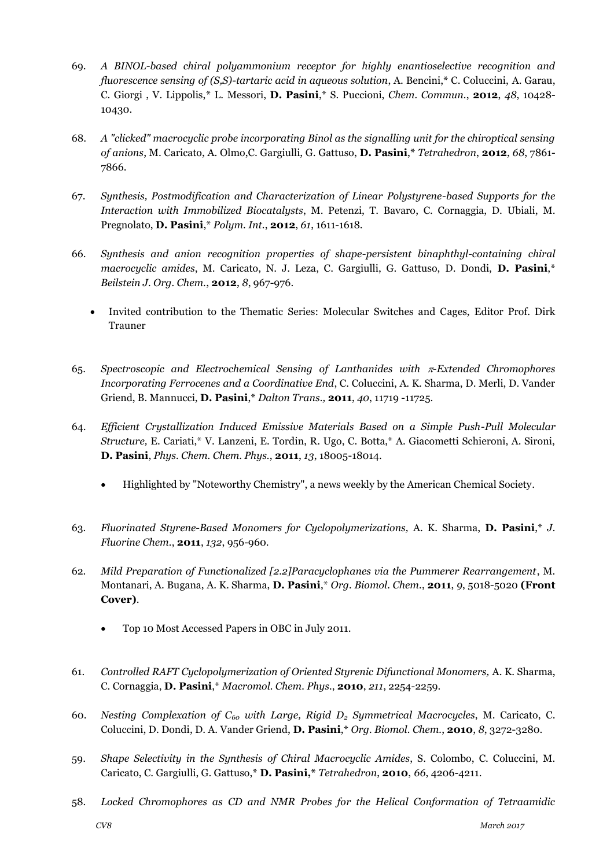- 69. *A BINOL-based chiral polyammonium receptor for highly enantioselective recognition and fluorescence sensing of (S,S)-tartaric acid in aqueous solution*, A. Bencini,\* C. Coluccini, A. Garau, C. Giorgi , V. Lippolis,\* L. Messori, **D. Pasini**,\* S. Puccioni, *Chem. Commun.*, **2012**, *48*, 10428- 10430.
- 68. *A "clicked" macrocyclic probe incorporating Binol as the signalling unit for the chiroptical sensing of anions*, M. Caricato, A. Olmo,C. Gargiulli, G. Gattuso, **D. Pasini**,\* *Tetrahedron*, **2012**, *68*, 7861- 7866.
- 67. *Synthesis, Postmodification and Characterization of Linear Polystyrene-based Supports for the Interaction with Immobilized Biocatalysts*, M. Petenzi, T. Bavaro, C. Cornaggia, D. Ubiali, M. Pregnolato, **D. Pasini**,\* *Polym. Int.*, **2012**, *61*, 1611-1618.
- 66. *Synthesis and anion recognition properties of shape-persistent binaphthyl-containing chiral macrocyclic amides*, M. Caricato, N. J. Leza, C. Gargiulli, G. Gattuso, D. Dondi, **D. Pasini**,\* *Beilstein J. Org. Chem.*, **2012**, *8*, 967-976.
	- Invited contribution to the Thematic Series: Molecular Switches and Cages, Editor Prof. Dirk Trauner
- 65. *Spectroscopic and Electrochemical Sensing of Lanthanides with -Extended Chromophores Incorporating Ferrocenes and a Coordinative End*, C. Coluccini, A. K. Sharma, D. Merli, D. Vander Griend, B. Mannucci, **D. Pasini**,\* *Dalton Trans.,* **2011**, *40*, 11719 -11725.
- 64. *Efficient Crystallization Induced Emissive Materials Based on a Simple Push-Pull Molecular Structure,* E. Cariati,\* V. Lanzeni, E. Tordin, R. Ugo, C. Botta,\* A. Giacometti Schieroni, A. Sironi, **D. Pasini**, *Phys. Chem. Chem. Phys.*, **2011**, *13*, 18005-18014.
	- Highlighted by "Noteworthy Chemistry", a news weekly by the American Chemical Society.
- 63. *Fluorinated Styrene-Based Monomers for Cyclopolymerizations,* A. K. Sharma, **D. Pasini**,\* *J. Fluorine Chem.*, **2011**, *132*, 956-960.
- 62. *Mild Preparation of Functionalized [2.2]Paracyclophanes via the Pummerer Rearrangement*, M. Montanari, A. Bugana, A. K. Sharma, **D. Pasini**,\* *Org. Biomol. Chem.*, **2011**, *9*, 5018-5020 **(Front Cover)**.
	- Top 10 Most Accessed Papers in OBC in July 2011.
- 61. *Controlled RAFT Cyclopolymerization of Oriented Styrenic Difunctional Monomers,* A. K. Sharma, C. Cornaggia, **D. Pasini**,\* *Macromol. Chem. Phys.*, **2010**, *211*, 2254-2259.
- 60. *Nesting Complexation of C<sup>60</sup> with Large, Rigid D<sup>2</sup> Symmetrical Macrocycles*, M. Caricato, C. Coluccini, D. Dondi, D. A. Vander Griend, **D. Pasini**,\* *Org. Biomol. Chem.*, **2010**, *8*, 3272-3280.
- 59. *Shape Selectivity in the Synthesis of Chiral Macrocyclic Amides*, S. Colombo, C. Coluccini, M. Caricato, C. Gargiulli, G. Gattuso,\* **D. Pasini,\*** *Tetrahedron*, **2010**, *66*, 4206-4211.
- 58. *Locked Chromophores as CD and NMR Probes for the Helical Conformation of Tetraamidic*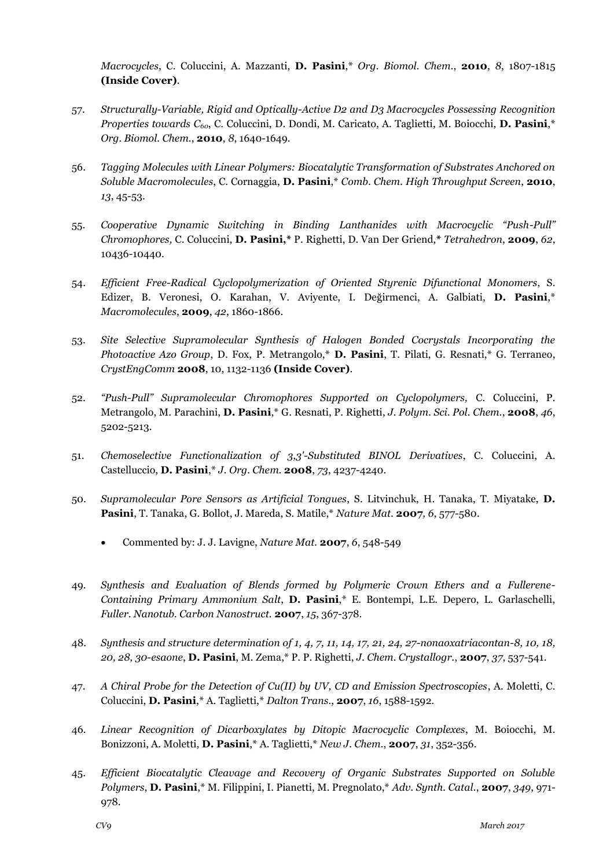*Macrocycles*, C. Coluccini, A. Mazzanti, **D. Pasini**,\* *Org. Biomol. Chem.*, **2010**, *8*, 1807-1815 **(Inside Cover)**.

- 57. *Structurally-Variable, Rigid and Optically-Active D2 and D3 Macrocycles Possessing Recognition Properties towards C60*, C. Coluccini, D. Dondi, M. Caricato, A. Taglietti, M. Boiocchi, **D. Pasini**,\* *Org. Biomol. Chem.*, **2010**, *8*, 1640-1649.
- 56. *Tagging Molecules with Linear Polymers: Biocatalytic Transformation of Substrates Anchored on Soluble Macromolecules*, C. Cornaggia, **D. Pasini**,\* *Comb. Chem. High Throughput Screen*, **2010**, *13*, 45-53.
- 55. *Cooperative Dynamic Switching in Binding Lanthanides with Macrocyclic "Push-Pull" Chromophores,* C. Coluccini, **D. Pasini,\*** P. Righetti, D. Van Der Griend,**\*** *Tetrahedron*, **2009**, *62*, 10436-10440.
- 54. *Efficient Free-Radical Cyclopolymerization of Oriented Styrenic Difunctional Monomers*, S. Edizer, B. Veronesi, O. Karahan, V. Aviyente, I. Değirmenci, A. Galbiati, **D. Pasini**,\* *Macromolecules*, **2009**, *42*, 1860-1866.
- 53. *Site Selective Supramolecular Synthesis of Halogen Bonded Cocrystals Incorporating the Photoactive Azo Group*, D. Fox, P. Metrangolo,\* **D. Pasini**, T. Pilati, G. Resnati,\* G. Terraneo, *CrystEngComm* **2008**, 10, 1132-1136 **(Inside Cover)**.
- 52. *"Push-Pull" Supramolecular Chromophores Supported on Cyclopolymers,* C. Coluccini, P. Metrangolo, M. Parachini, **D. Pasini**,\* G. Resnati, P. Righetti, *J. Polym. Sci. Pol. Chem.*, **2008**, *46*, 5202-5213.
- 51. *Chemoselective Functionalization of 3,3'-Substituted BINOL Derivatives*, C. Coluccini, A. Castelluccio, **D. Pasini**,\* *J. Org. Chem.* **2008**, *73*, 4237-4240.
- 50. *Supramolecular Pore Sensors as Artificial Tongues*, S. Litvinchuk, H. Tanaka, T. Miyatake, **D. Pasini**, T. Tanaka, G. Bollot, J. Mareda, S. Matile,\* *Nature Mat.* **2007***, 6*, 577-580.
	- Commented by: J. J. Lavigne, *Nature Mat.* **2007**, *6*, 548-549
- 49. *Synthesis and Evaluation of Blends formed by Polymeric Crown Ethers and a Fullerene-Containing Primary Ammonium Salt*, **D. Pasini**,\* E. Bontempi, L.E. Depero, L. Garlaschelli, *Fuller. Nanotub. Carbon Nanostruct.* **2007**, *15*, 367-378.
- 48. *Synthesis and structure determination of 1, 4, 7, 11, 14, 17, 21, 24, 27-nonaoxatriacontan-8, 10, 18, 20, 28, 30-esaone*, **D. Pasini**, M. Zema,\* P. P. Righetti, *J. Chem. Crystallogr.*, **2007**, *37*, 537-541.
- 47. *A Chiral Probe for the Detection of Cu(II) by UV, CD and Emission Spectroscopies*, A. Moletti, C. Coluccini, **D. Pasini**,\* A. Taglietti,\* *Dalton Trans.*, **2007**, *16*, 1588-1592.
- 46. *Linear Recognition of Dicarboxylates by Ditopic Macrocyclic Complexes*, M. Boiocchi, M. Bonizzoni, A. Moletti, **D. Pasini**,\* A. Taglietti,\* *New J. Chem.*, **2007**, *31*, 352-356.
- 45. *Efficient Biocatalytic Cleavage and Recovery of Organic Substrates Supported on Soluble Polymers*, **D. Pasini**,\* M. Filippini, I. Pianetti, M. Pregnolato,\* *Adv. Synth. Catal.*, **2007**, *349*, 971- 978.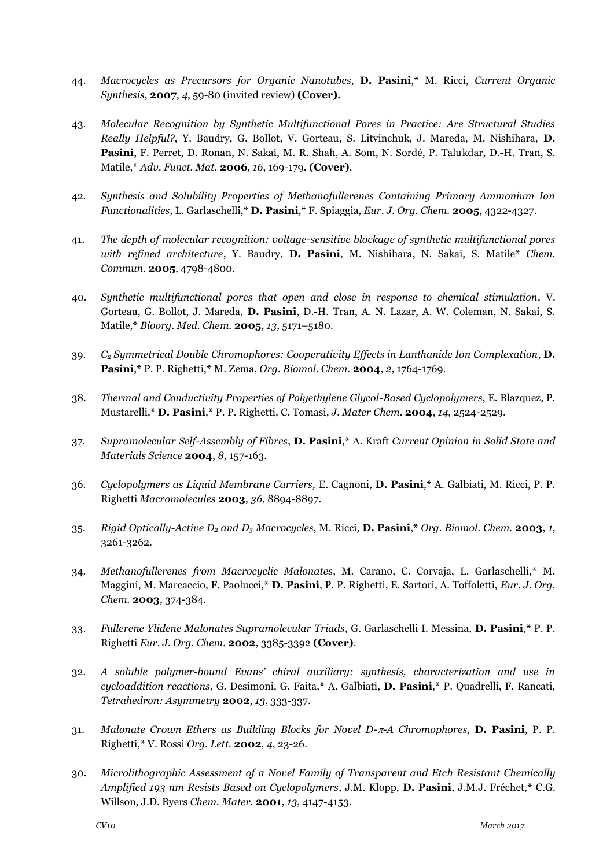- 44. *Macrocycles as Precursors for Organic Nanotubes*, **D. Pasini**,**\*** M. Ricci, *Current Organic Synthesis*, **2007**, *4*, 59-80 (invited review) **(Cover).**
- 43. *Molecular Recognition by Synthetic Multifunctional Pores in Practice: Are Structural Studies Really Helpful?*, Y. Baudry, G. Bollot, V. Gorteau, S. Litvinchuk, J. Mareda, M. Nishihara, **D. Pasini**, F. Perret, D. Ronan, N. Sakai, M. R. Shah, A. Som, N. Sordé, P. Talukdar, D.-H. Tran, S. Matile,\* *Adv. Funct. Mat.* **2006**, *16*, 169-179. **(Cover)**.
- 42. *Synthesis and Solubility Properties of Methanofullerenes Containing Primary Ammonium Ion Functionalities*, L. Garlaschelli,\* **D. Pasini**,\* F. Spiaggia, *Eur. J. Org. Chem.* **2005**, 4322-4327.
- 41. *The depth of molecular recognition: voltage-sensitive blockage of synthetic multifunctional pores with refined architecture*, Y. Baudry, **D. Pasini**, M. Nishihara, N. Sakai, S. Matile\* *Chem. Commun.* **2005**, 4798-4800.
- 40. *Synthetic multifunctional pores that open and close in response to chemical stimulation*, V. Gorteau, G. Bollot, J. Mareda, **D. Pasini**, D.-H. Tran, A. N. Lazar, A. W. Coleman, N. Sakai, S. Matile,\* *Bioorg. Med. Chem.* **2005**, *13*, 5171–5180.
- 39. *C<sup>2</sup> Symmetrical Double Chromophores: Cooperativity Effects in Lanthanide Ion Complexation*, **D. Pasini**,**\*** P. P. Righetti,**\*** M. Zema, *Org. Biomol. Chem.* **2004**, *2*, 1764-1769.
- 38. *Thermal and Conductivity Properties of Polyethylene Glycol-Based Cyclopolymers*, E. Blazquez, P. Mustarelli,**\* D. Pasini**,**\*** P. P. Righetti, C. Tomasi, *J. Mater Chem.* **2004**, *14*, 2524-2529.
- 37. *Supramolecular Self-Assembly of Fibres*, **D. Pasini**,**\*** A. Kraft *Current Opinion in Solid State and Materials Science* **2004**, *8*, 157-163.
- 36. *Cyclopolymers as Liquid Membrane Carriers,* E. Cagnoni, **D. Pasini**,**\*** A. Galbiati, M. Ricci, P. P. Righetti *Macromolecules* **2003**, *36*, 8894-8897.
- 35. *Rigid Optically-Active D<sup>2</sup> and D<sup>3</sup> Macrocycles*, M. Ricci, **D. Pasini**,**\*** *Org. Biomol. Chem.* **2003**, *1*, 3261-3262.
- 34. *Methanofullerenes from Macrocyclic Malonates*, M. Carano, C. Corvaja, L. Garlaschelli,**\*** M. Maggini, M. Marcaccio, F. Paolucci,**\* D. Pasini**, P. P. Righetti, E. Sartori, A. Toffoletti, *Eur. J. Org. Chem.* **2003**, 374-384.
- 33. *Fullerene Ylidene Malonates Supramolecular Triads*, G. Garlaschelli I. Messina, **D. Pasini**,**\*** P. P. Righetti *Eur. J. Org. Chem.* **2002**, 3385-3392 **(Cover)**.
- 32. *A soluble polymer-bound Evans' chiral auxiliary: synthesis, characterization and use in cycloaddition reactions,* G. Desimoni, G. Faita,**\*** A. Galbiati, **D. Pasini**,**\*** P. Quadrelli, F. Rancati, *Tetrahedron: Asymmetry* **2002**, *13*, 333-337.
- 31. *Malonate Crown Ethers as Building Blocks for Novel D--A Chromophores*, **D. Pasini**, P. P. Righetti,**\*** V. Rossi *Org. Lett.* **2002**, *4*, 23-26.
- 30. *Microlithographic Assessment of a Novel Family of Transparent and Etch Resistant Chemically Amplified 193 nm Resists Based on Cyclopolymers*, J.M. Klopp, **D. Pasini**, J.M.J. Fréchet,**\*** C.G. Willson, J.D. Byers *Chem. Mater.* **2001**, *13*, 4147-4153.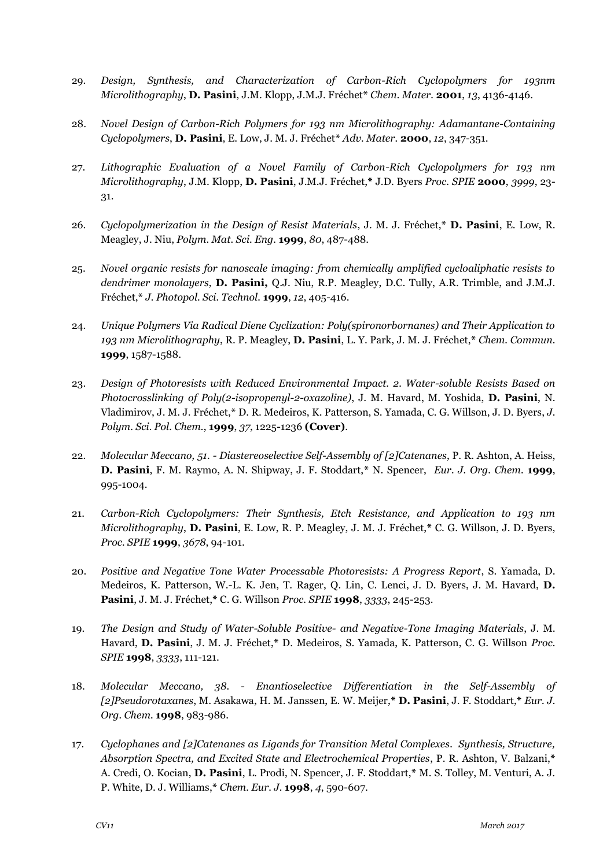- 29. *Design, Synthesis, and Characterization of Carbon-Rich Cyclopolymers for 193nm Microlithography*, **D. Pasini**, J.M. Klopp, J.M.J. Fréchet**\*** *Chem. Mater.* **2001**, *13*, 4136-4146.
- 28. *Novel Design of Carbon-Rich Polymers for 193 nm Microlithography: Adamantane-Containing Cyclopolymers*, **D. Pasini**, E. Low, J. M. J. Fréchet**\*** *Adv. Mater.* **2000**, *12*, 347-351.
- 27. *Lithographic Evaluation of a Novel Family of Carbon-Rich Cyclopolymers for 193 nm Microlithography*, J.M. Klopp, **D. Pasini**, J.M.J. Fréchet,**\*** J.D. Byers *Proc. SPIE* **2000**, *3999*, 23- 31.
- 26. *Cyclopolymerization in the Design of Resist Materials*, J. M. J. Fréchet,**\* D. Pasini**, E. Low, R. Meagley, J. Niu, *Polym. Mat. Sci. Eng.* **1999**, *80*, 487-488.
- 25. *Novel organic resists for nanoscale imaging: from chemically amplified cycloaliphatic resists to dendrimer monolayers*, **D. Pasini,** Q.J. Niu, R.P. Meagley, D.C. Tully, A.R. Trimble, and J.M.J. Fréchet,**\*** *J. Photopol. Sci. Technol.* **1999**, *12*, 405-416.
- 24. *Unique Polymers Via Radical Diene Cyclization: Poly(spironorbornanes) and Their Application to 193 nm Microlithography*, R. P. Meagley, **D. Pasini**, L. Y. Park, J. M. J. Fréchet,**\*** *Chem. Commun.* **1999**, 1587-1588.
- 23. *Design of Photoresists with Reduced Environmental Impact. 2. Water-soluble Resists Based on Photocrosslinking of Poly(2-isopropenyl-2-oxazoline)*, J. M. Havard, M. Yoshida, **D. Pasini**, N. Vladimirov, J. M. J. Fréchet,**\*** D. R. Medeiros, K. Patterson, S. Yamada, C. G. Willson, J. D. Byers, *J. Polym. Sci. Pol. Chem.*, **1999**, *37*, 1225-1236 **(Cover)**.
- 22. *Molecular Meccano, 51. - Diastereoselective Self-Assembly of [2]Catenanes*, P. R. Ashton, A. Heiss, **D. Pasini**, F. M. Raymo, A. N. Shipway, J. F. Stoddart,**\*** N. Spencer, *Eur. J. Org. Chem.* **1999**, 995-1004.
- 21. *Carbon-Rich Cyclopolymers: Their Synthesis, Etch Resistance, and Application to 193 nm Microlithography*, **D. Pasini**, E. Low, R. P. Meagley, J. M. J. Fréchet,**\*** C. G. Willson, J. D. Byers, *Proc. SPIE* **1999**, *3678*, 94-101.
- 20. *Positive and Negative Tone Water Processable Photoresists: A Progress Report*, S. Yamada, D. Medeiros, K. Patterson, W.-L. K. Jen, T. Rager, Q. Lin, C. Lenci, J. D. Byers, J. M. Havard, **D. Pasini**, J. M. J. Fréchet,**\*** C. G. Willson *Proc. SPIE* **1998**, *3333*, 245-253.
- 19. *The Design and Study of Water-Soluble Positive- and Negative-Tone Imaging Materials*, J. M. Havard, **D. Pasini**, J. M. J. Fréchet,**\*** D. Medeiros, S. Yamada, K. Patterson, C. G. Willson *Proc. SPIE* **1998**, *3333*, 111-121.
- 18. *Molecular Meccano, 38. - Enantioselective Differentiation in the Self-Assembly of [2]Pseudorotaxanes*, M. Asakawa, H. M. Janssen, E. W. Meijer,**\* D. Pasini**, J. F. Stoddart,**\*** *Eur. J. Org. Chem.* **1998**, 983-986.
- 17. *Cyclophanes and [2]Catenanes as Ligands for Transition Metal Complexes. Synthesis, Structure, Absorption Spectra, and Excited State and Electrochemical Properties*, P. R. Ashton, V. Balzani,**\*** A. Credi, O. Kocian, **D. Pasini**, L. Prodi, N. Spencer, J. F. Stoddart,**\*** M. S. Tolley, M. Venturi, A. J. P. White, D. J. Williams,**\*** *Chem. Eur. J.* **1998**, *4*, 590-607.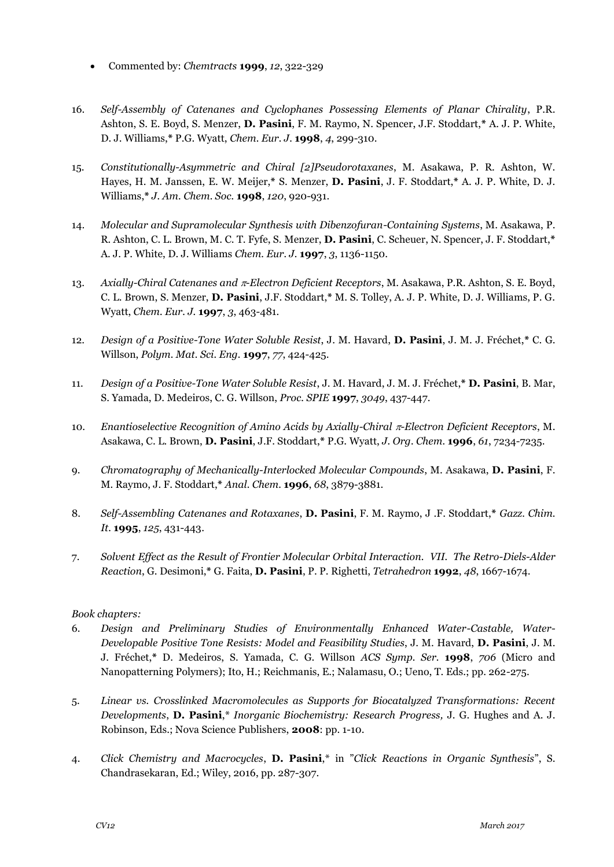- Commented by: *Chemtracts* **1999**, *12*, 322-329
- 16. *Self-Assembly of Catenanes and Cyclophanes Possessing Elements of Planar Chirality*, P.R. Ashton, S. E. Boyd, S. Menzer, **D. Pasini**, F. M. Raymo, N. Spencer, J.F. Stoddart,**\*** A. J. P. White, D. J. Williams,**\*** P.G. Wyatt, *Chem. Eur. J.* **1998**, *4*, 299-310.
- 15. *Constitutionally-Asymmetric and Chiral [2]Pseudorotaxanes*, M. Asakawa, P. R. Ashton, W. Hayes, H. M. Janssen, E. W. Meijer,**\*** S. Menzer, **D. Pasini**, J. F. Stoddart,**\*** A. J. P. White, D. J. Williams,**\*** *J. Am. Chem. Soc.* **1998**, *120*, 920-931.
- 14. *Molecular and Supramolecular Synthesis with Dibenzofuran-Containing Systems*, M. Asakawa, P. R. Ashton, C. L. Brown, M. C. T. Fyfe, S. Menzer, **D. Pasini**, C. Scheuer, N. Spencer, J. F. Stoddart,**\*** A. J. P. White, D. J. Williams *Chem. Eur. J.* **1997**, *3*, 1136-1150.
- 13. *Axially-Chiral Catenanes and -Electron Deficient Receptors*, M. Asakawa, P.R. Ashton, S. E. Boyd, C. L. Brown, S. Menzer, **D. Pasini**, J.F. Stoddart,**\*** M. S. Tolley, A. J. P. White, D. J. Williams, P. G. Wyatt, *Chem. Eur. J.* **1997**, *3*, 463-481.
- 12. *Design of a Positive-Tone Water Soluble Resist*, J. M. Havard, **D. Pasini**, J. M. J. Fréchet,**\*** C. G. Willson, *Polym. Mat. Sci. Eng.* **1997**, *77*, 424-425.
- 11. *Design of a Positive-Tone Water Soluble Resist*, J. M. Havard, J. M. J. Fréchet,**\* D. Pasini**, B. Mar, S. Yamada, D. Medeiros, C. G. Willson, *Proc. SPIE* **1997**, *3049*, 437-447.
- 10. *Enantioselective Recognition of Amino Acids by Axially-Chiral -Electron Deficient Receptors*, M. Asakawa, C. L. Brown, **D. Pasini**, J.F. Stoddart,**\*** P.G. Wyatt, *J. Org. Chem.* **1996**, *61*, 7234-7235.
- 9. *Chromatography of Mechanically-Interlocked Molecular Compounds*, M. Asakawa, **D. Pasini**, F. M. Raymo, J. F. Stoddart,**\*** *Anal. Chem.* **1996**, *68*, 3879-3881.
- 8. *Self-Assembling Catenanes and Rotaxanes*, **D. Pasini**, F. M. Raymo, J .F. Stoddart,**\*** *Gazz. Chim. It.* **1995**, *125*, 431-443.
- 7. *Solvent Effect as the Result of Frontier Molecular Orbital Interaction. VII. The Retro-Diels-Alder Reaction*, G. Desimoni,**\*** G. Faita, **D. Pasini**, P. P. Righetti, *Tetrahedron* **1992**, *48*, 1667-1674.

#### *Book chapters:*

- 6. *Design and Preliminary Studies of Environmentally Enhanced Water-Castable, Water-Developable Positive Tone Resists: Model and Feasibility Studies*, J. M. Havard, **D. Pasini**, J. M. J. Fréchet,**\*** D. Medeiros, S. Yamada, C. G. Willson *ACS Symp. Ser.* **1998**, *706* (Micro and Nanopatterning Polymers); Ito, H.; Reichmanis, E.; Nalamasu, O.; Ueno, T. Eds.; pp. 262-275.
- 5. *Linear vs. Crosslinked Macromolecules as Supports for Biocatalyzed Transformations: Recent Developments*, **D. Pasini**,\* *Inorganic Biochemistry: Research Progress,* J. G. Hughes and A. J. Robinson, Eds.; Nova Science Publishers, **2008**: pp. 1-10.
- 4. *Click Chemistry and Macrocycles*, **D. Pasini**,\* in "*Click Reactions in Organic Synthesis*", S. Chandrasekaran, Ed.; Wiley, 2016, pp. 287-307.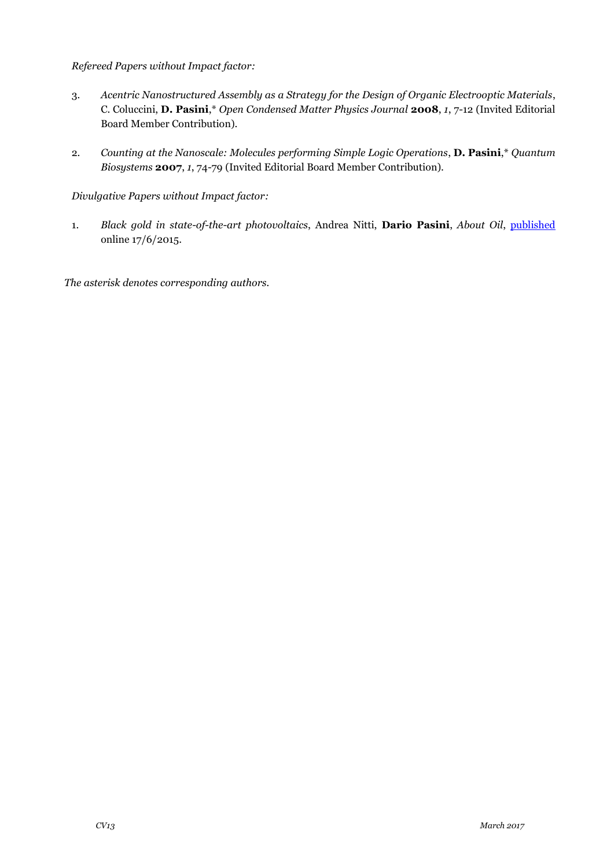#### *Refereed Papers without Impact factor:*

- 3. *Acentric Nanostructured Assembly as a Strategy for the Design of Organic Electrooptic Materials*, C. Coluccini, **D. Pasini**,\* *Open Condensed Matter Physics Journal* **2008**, *1*, 7-12 (Invited Editorial Board Member Contribution).
- 2. *Counting at the Nanoscale: Molecules performing Simple Logic Operations*, **D. Pasini**,\* *Quantum Biosystems* **2007**, *1*, 74-79 (Invited Editorial Board Member Contribution).

#### *Divulgative Papers without Impact factor:*

1. *Black gold in state-of-the-art photovoltaics*, Andrea Nitti, **Dario Pasini**, *About Oil*, [published](http://www.abo.net/oilportal/topic/view.do?contentId=2449412) online 17/6/2015.

*The asterisk denotes corresponding authors.*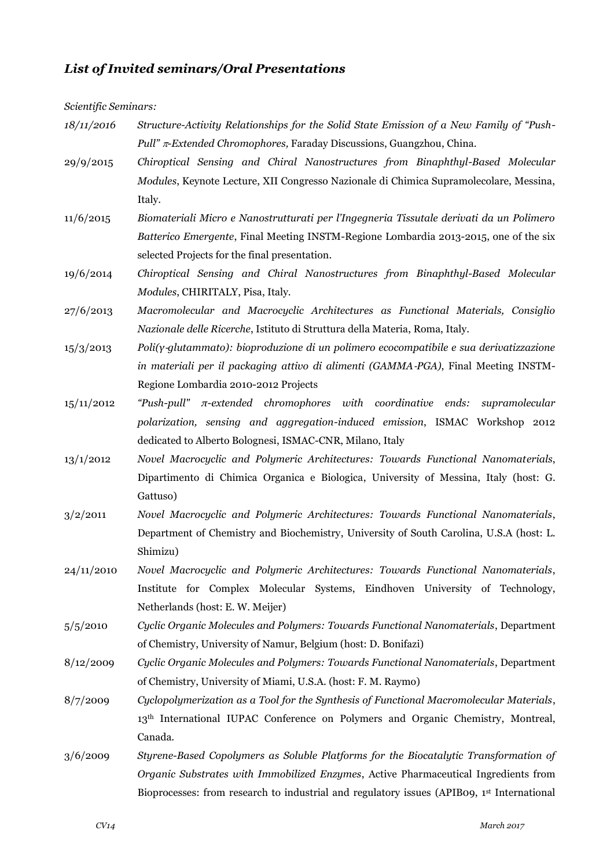# *List of Invited seminars/Oral Presentations*

*Scientific Seminars:*

| 18/11/2016 | Structure-Activity Relationships for the Solid State Emission of a New Family of "Push-                |
|------------|--------------------------------------------------------------------------------------------------------|
|            | Pull" $\pi$ -Extended Chromophores, Faraday Discussions, Guangzhou, China.                             |
| 29/9/2015  | Chiroptical Sensing and Chiral Nanostructures from Binaphthyl-Based Molecular                          |
|            | Modules, Keynote Lecture, XII Congresso Nazionale di Chimica Supramolecolare, Messina,                 |
|            | Italy.                                                                                                 |
| 11/6/2015  | Biomateriali Micro e Nanostrutturati per l'Ingegneria Tissutale derivati da un Polimero                |
|            | Batterico Emergente, Final Meeting INSTM-Regione Lombardia 2013-2015, one of the six                   |
|            | selected Projects for the final presentation.                                                          |
| 19/6/2014  | Chiroptical Sensing and Chiral Nanostructures from Binaphthyl-Based Molecular                          |
|            | Modules, CHIRITALY, Pisa, Italy.                                                                       |
| 27/6/2013  | Macromolecular and Macrocyclic Architectures as Functional Materials, Consiglio                        |
|            | Nazionale delle Ricerche, Istituto di Struttura della Materia, Roma, Italy.                            |
| 15/3/2013  | $Poli(y \text{-}glutammato)$ : bioproduzione di un polimero ecocompatibile e sua derivatizzazione      |
|            | in materiali per il packaging attivo di alimenti (GAMMA-PGA), Final Meeting INSTM-                     |
|            | Regione Lombardia 2010-2012 Projects                                                                   |
| 15/11/2012 | "Push-pull" $\pi$ -extended chromophores with coordinative ends: supramolecular                        |
|            | polarization, sensing and aggregation-induced emission, ISMAC Workshop 2012                            |
|            | dedicated to Alberto Bolognesi, ISMAC-CNR, Milano, Italy                                               |
| 13/1/2012  | Novel Macrocyclic and Polymeric Architectures: Towards Functional Nanomaterials,                       |
|            | Dipartimento di Chimica Organica e Biologica, University of Messina, Italy (host: G.                   |
|            | Gattuso)                                                                                               |
| 3/2/2011   | Novel Macrocyclic and Polymeric Architectures: Towards Functional Nanomaterials,                       |
|            | Department of Chemistry and Biochemistry, University of South Carolina, U.S.A (host: L.                |
|            | Shimizu)                                                                                               |
| 24/11/2010 | Novel Macrocyclic and Polymeric Architectures: Towards Functional Nanomaterials,                       |
|            | Institute for Complex Molecular Systems, Eindhoven University of Technology,                           |
|            | Netherlands (host: E. W. Meijer)                                                                       |
| 5/5/2010   | Cyclic Organic Molecules and Polymers: Towards Functional Nanomaterials, Department                    |
|            | of Chemistry, University of Namur, Belgium (host: D. Bonifazi)                                         |
| 8/12/2009  | Cyclic Organic Molecules and Polymers: Towards Functional Nanomaterials, Department                    |
|            | of Chemistry, University of Miami, U.S.A. (host: F. M. Raymo)                                          |
| 8/7/2009   | Cyclopolymerization as a Tool for the Synthesis of Functional Macromolecular Materials,                |
|            | 13 <sup>th</sup> International IUPAC Conference on Polymers and Organic Chemistry, Montreal,           |
|            | Canada.                                                                                                |
| 3/6/2009   | Styrene-Based Copolymers as Soluble Platforms for the Biocatalytic Transformation of                   |
|            | Organic Substrates with Immobilized Enzymes, Active Pharmaceutical Ingredients from                    |
|            | Bioprocesses: from research to industrial and regulatory issues (APIBo9, 1 <sup>st</sup> International |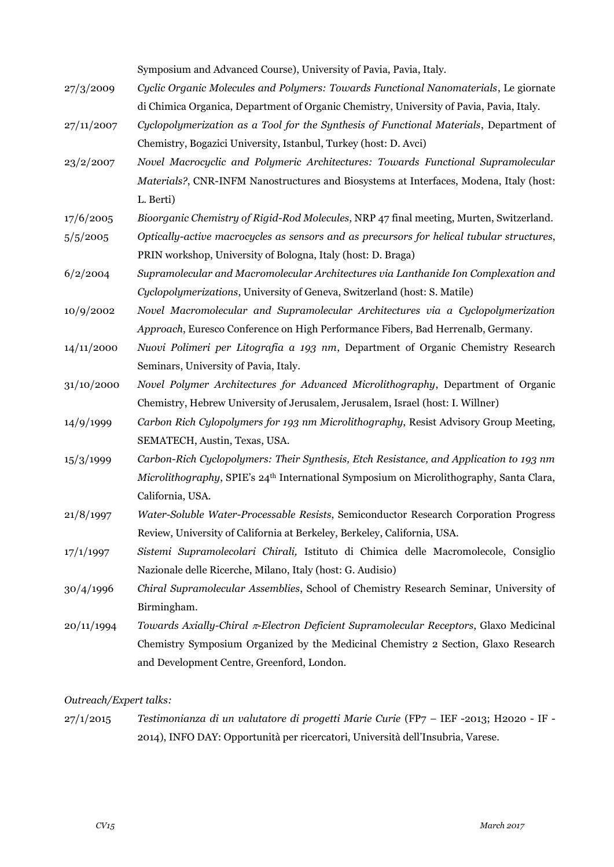Symposium and Advanced Course), University of Pavia, Pavia, Italy.

- 27/3/2009 *Cyclic Organic Molecules and Polymers: Towards Functional Nanomaterials*, Le giornate di Chimica Organica, Department of Organic Chemistry, University of Pavia, Pavia, Italy.
- 27/11/2007 *Cyclopolymerization as a Tool for the Synthesis of Functional Materials*, Department of Chemistry, Bogazici University, Istanbul, Turkey (host: D. Avci)
- 23/2/2007 *Novel Macrocyclic and Polymeric Architectures: Towards Functional Supramolecular Materials?*, CNR-INFM Nanostructures and Biosystems at Interfaces, Modena, Italy (host: L. Berti)
- 17/6/2005 *Bioorganic Chemistry of Rigid-Rod Molecules*, NRP 47 final meeting, Murten, Switzerland.
- 5/5/2005 *Optically-active macrocycles as sensors and as precursors for helical tubular structures*, PRIN workshop, University of Bologna, Italy (host: D. Braga)
- 6/2/2004 *Supramolecular and Macromolecular Architectures via Lanthanide Ion Complexation and Cyclopolymerizations*, University of Geneva, Switzerland (host: S. Matile)
- 10/9/2002 *Novel Macromolecular and Supramolecular Architectures via a Cyclopolymerization Approach*, Euresco Conference on High Performance Fibers, Bad Herrenalb, Germany.
- 14/11/2000 *Nuovi Polimeri per Litografia a 193 nm*, Department of Organic Chemistry Research Seminars, University of Pavia, Italy.
- 31/10/2000 *Novel Polymer Architectures for Advanced Microlithography*, Department of Organic Chemistry, Hebrew University of Jerusalem, Jerusalem, Israel (host: I. Willner)
- 14/9/1999 *Carbon Rich Cylopolymers for 193 nm Microlithography*, Resist Advisory Group Meeting, SEMATECH, Austin, Texas, USA.
- 15/3/1999 *Carbon-Rich Cyclopolymers: Their Synthesis, Etch Resistance, and Application to 193 nm Microlithography*, SPIE's 24th International Symposium on Microlithography, Santa Clara, California, USA.
- 21/8/1997 *Water-Soluble Water-Processable Resists*, Semiconductor Research Corporation Progress Review, University of California at Berkeley, Berkeley, California, USA.
- 17/1/1997 *Sistemi Supramolecolari Chirali,* Istituto di Chimica delle Macromolecole, Consiglio Nazionale delle Ricerche, Milano, Italy (host: G. Audisio)
- 30/4/1996 *Chiral Supramolecular Assemblies*, School of Chemistry Research Seminar, University of Birmingham.
- 20/11/1994 *Towards Axially-Chiral -Electron Deficient Supramolecular Receptors*, Glaxo Medicinal Chemistry Symposium Organized by the Medicinal Chemistry 2 Section, Glaxo Research and Development Centre, Greenford, London.

#### *Outreach/Expert talks:*

27/1/2015 *Testimonianza di un valutatore di progetti Marie Curie* (FP7 – IEF -2013; H2020 - IF - 2014), INFO DAY: Opportunità per ricercatori, Università dell'Insubria, Varese.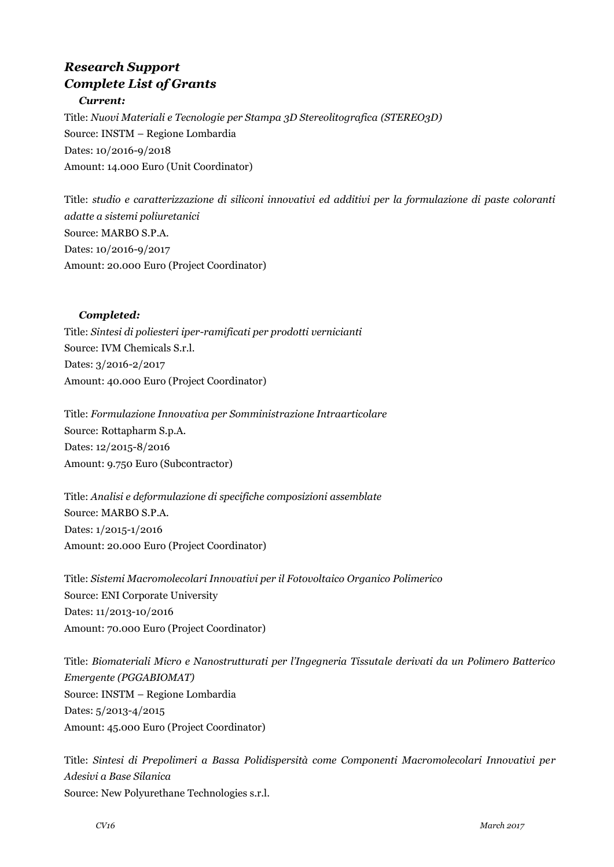# *Research Support Complete List of Grants Current:*

Title: *Nuovi Materiali e Tecnologie per Stampa 3D Stereolitografica (STEREO3D)* Source: INSTM – Regione Lombardia Dates: 10/2016-9/2018 Amount: 14.000 Euro (Unit Coordinator)

Title: *studio e caratterizzazione di siliconi innovativi ed additivi per la formulazione di paste coloranti adatte a sistemi poliuretanici* Source: MARBO S.P.A. Dates: 10/2016-9/2017 Amount: 20.000 Euro (Project Coordinator)

#### *Completed:*

Title: *Sintesi di poliesteri iper-ramificati per prodotti vernicianti* Source: IVM Chemicals S.r.l. Dates: 3/2016-2/2017 Amount: 40.000 Euro (Project Coordinator)

Title: *Formulazione Innovativa per Somministrazione Intraarticolare* Source: Rottapharm S.p.A. Dates: 12/2015-8/2016 Amount: 9.750 Euro (Subcontractor)

Title: *Analisi e deformulazione di specifiche composizioni assemblate* Source: MARBO S.P.A. Dates: 1/2015-1/2016 Amount: 20.000 Euro (Project Coordinator)

Title: *Sistemi Macromolecolari Innovativi per il Fotovoltaico Organico Polimerico* Source: ENI Corporate University Dates: 11/2013-10/2016 Amount: 70.000 Euro (Project Coordinator)

Title: *Biomateriali Micro e Nanostrutturati per l'Ingegneria Tissutale derivati da un Polimero Batterico Emergente (PGGABIOMAT)* Source: INSTM – Regione Lombardia Dates: 5/2013-4/2015 Amount: 45.000 Euro (Project Coordinator)

Title: *Sintesi di Prepolimeri a Bassa Polidispersità come Componenti Macromolecolari Innovativi per Adesivi a Base Silanica*  Source: New Polyurethane Technologies s.r.l.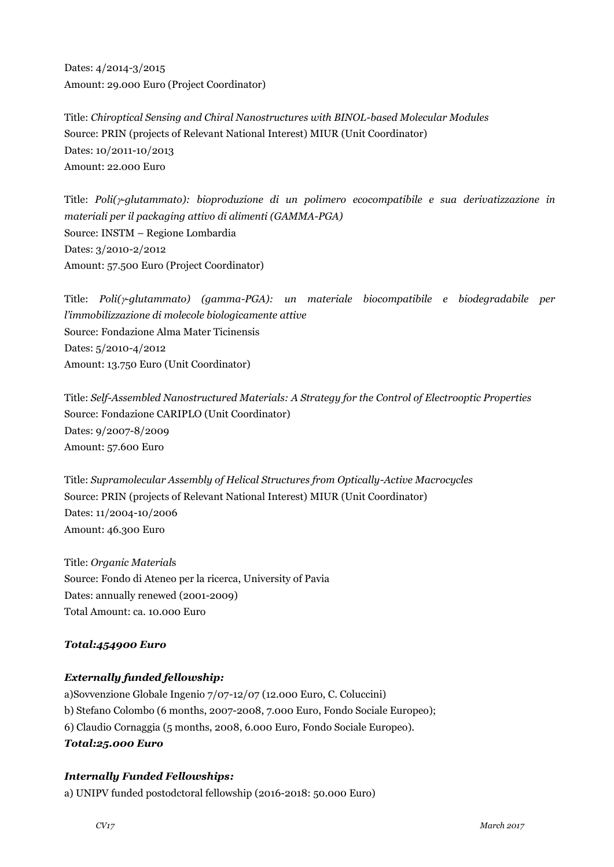Dates: 4/2014-3/2015 Amount: 29.000 Euro (Project Coordinator)

Title: *Chiroptical Sensing and Chiral Nanostructures with BINOL-based Molecular Modules* Source: PRIN (projects of Relevant National Interest) MIUR (Unit Coordinator) Dates: 10/2011-10/2013 Amount: 22.000 Euro

Title: *Poli(-glutammato): bioproduzione di un polimero ecocompatibile e sua derivatizzazione in materiali per il packaging attivo di alimenti (GAMMA-PGA)* Source: INSTM – Regione Lombardia Dates: 3/2010-2/2012 Amount: 57.500 Euro (Project Coordinator)

Title: *Poli(-glutammato) (gamma-PGA): un materiale biocompatibile e biodegradabile per l'immobilizzazione di molecole biologicamente attive* Source: Fondazione Alma Mater Ticinensis Dates: 5/2010-4/2012 Amount: 13.750 Euro (Unit Coordinator)

Title: *Self-Assembled Nanostructured Materials: A Strategy for the Control of Electrooptic Properties* Source: Fondazione CARIPLO (Unit Coordinator) Dates: 9/2007-8/2009 Amount: 57.600 Euro

Title: *Supramolecular Assembly of Helical Structures from Optically-Active Macrocycles* Source: PRIN (projects of Relevant National Interest) MIUR (Unit Coordinator) Dates: 11/2004-10/2006 Amount: 46.300 Euro

Title: *Organic Material*s Source: Fondo di Ateneo per la ricerca, University of Pavia Dates: annually renewed (2001-2009) Total Amount: ca. 10.000 Euro

#### *Total:454900 Euro*

#### *Externally funded fellowship:*

a)Sovvenzione Globale Ingenio 7/07-12/07 (12.000 Euro, C. Coluccini) b) Stefano Colombo (6 months, 2007-2008, 7.000 Euro, Fondo Sociale Europeo); 6) Claudio Cornaggia (5 months, 2008, 6.000 Euro, Fondo Sociale Europeo). *Total:25.000 Euro*

#### *Internally Funded Fellowships:*

a) UNIPV funded postodctoral fellowship (2016-2018: 50.000 Euro)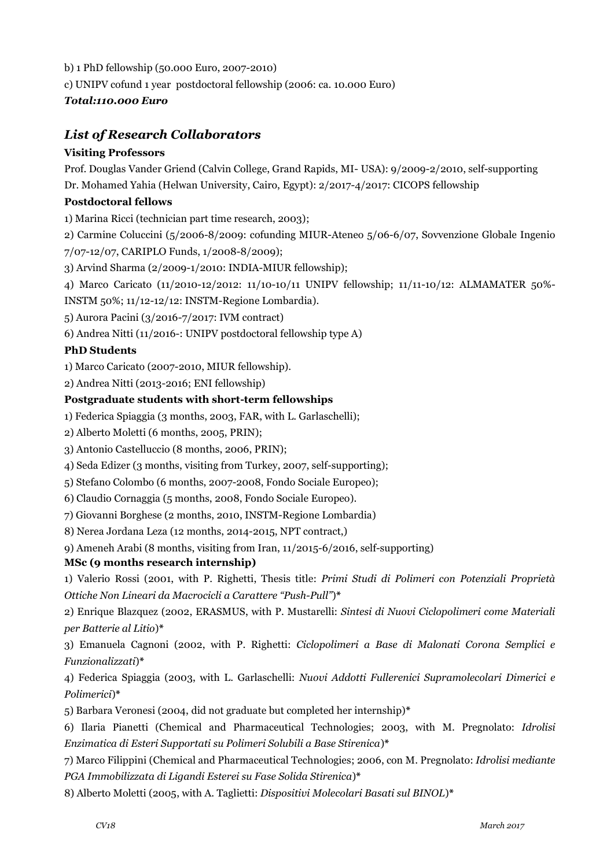- b) 1 PhD fellowship (50.000 Euro, 2007-2010)
- c) UNIPV cofund 1 year postdoctoral fellowship (2006: ca. 10.000 Euro)

## *Total:110.000 Euro*

# *List of Research Collaborators*

#### **Visiting Professors**

Prof. Douglas Vander Griend (Calvin College, Grand Rapids, MI- USA): 9/2009-2/2010, self-supporting

Dr. Mohamed Yahia (Helwan University, Cairo, Egypt): 2/2017-4/2017: CICOPS fellowship

#### **Postdoctoral fellows**

1) Marina Ricci (technician part time research, 2003);

2) Carmine Coluccini (5/2006-8/2009: cofunding MIUR-Ateneo 5/06-6/07, Sovvenzione Globale Ingenio

7/07-12/07, CARIPLO Funds, 1/2008-8/2009);

3) Arvind Sharma (2/2009-1/2010: INDIA-MIUR fellowship);

4) Marco Caricato (11/2010-12/2012: 11/10-10/11 UNIPV fellowship; 11/11-10/12: ALMAMATER 50%-

INSTM 50%; 11/12-12/12: INSTM-Regione Lombardia).

5) Aurora Pacini (3/2016-7/2017: IVM contract)

6) Andrea Nitti (11/2016-: UNIPV postdoctoral fellowship type A)

#### **PhD Students**

1) Marco Caricato (2007-2010, MIUR fellowship).

2) Andrea Nitti (2013-2016; ENI fellowship)

#### **Postgraduate students with short-term fellowships**

1) Federica Spiaggia (3 months, 2003, FAR, with L. Garlaschelli);

2) Alberto Moletti (6 months, 2005, PRIN);

3) Antonio Castelluccio (8 months, 2006, PRIN);

4) Seda Edizer (3 months, visiting from Turkey, 2007, self-supporting);

5) Stefano Colombo (6 months, 2007-2008, Fondo Sociale Europeo);

6) Claudio Cornaggia (5 months, 2008, Fondo Sociale Europeo).

7) Giovanni Borghese (2 months, 2010, INSTM-Regione Lombardia)

8) Nerea Jordana Leza (12 months, 2014-2015, NPT contract,)

9) Ameneh Arabi (8 months, visiting from Iran, 11/2015-6/2016, self-supporting)

#### **MSc (9 months research internship)**

1) Valerio Rossi (2001, with P. Righetti, Thesis title: *Primi Studi di Polimeri con Potenziali Proprietà Ottiche Non Lineari da Macrocicli a Carattere "Push-Pull"*)**\***

2) Enrique Blazquez (2002, ERASMUS, with P. Mustarelli: *Sintesi di Nuovi Ciclopolimeri come Materiali per Batterie al Litio*)**\***

3) Emanuela Cagnoni (2002, with P. Righetti: *Ciclopolimeri a Base di Malonati Corona Semplici e Funzionalizzati*)**\***

4) Federica Spiaggia (2003, with L. Garlaschelli: *Nuovi Addotti Fullerenici Supramolecolari Dimerici e Polimerici*)**\***

5) Barbara Veronesi (2004, did not graduate but completed her internship)**\***

6) Ilaria Pianetti (Chemical and Pharmaceutical Technologies; 2003, with M. Pregnolato: *Idrolisi Enzimatica di Esteri Supportati su Polimeri Solubili a Base Stirenica*)**\***

7) Marco Filippini (Chemical and Pharmaceutical Technologies; 2006, con M. Pregnolato: *Idrolisi mediante PGA Immobilizzata di Ligandi Esterei su Fase Solida Stirenica*)**\***

8) Alberto Moletti (2005, with A. Taglietti: *Dispositivi Molecolari Basati sul BINOL*)**\***